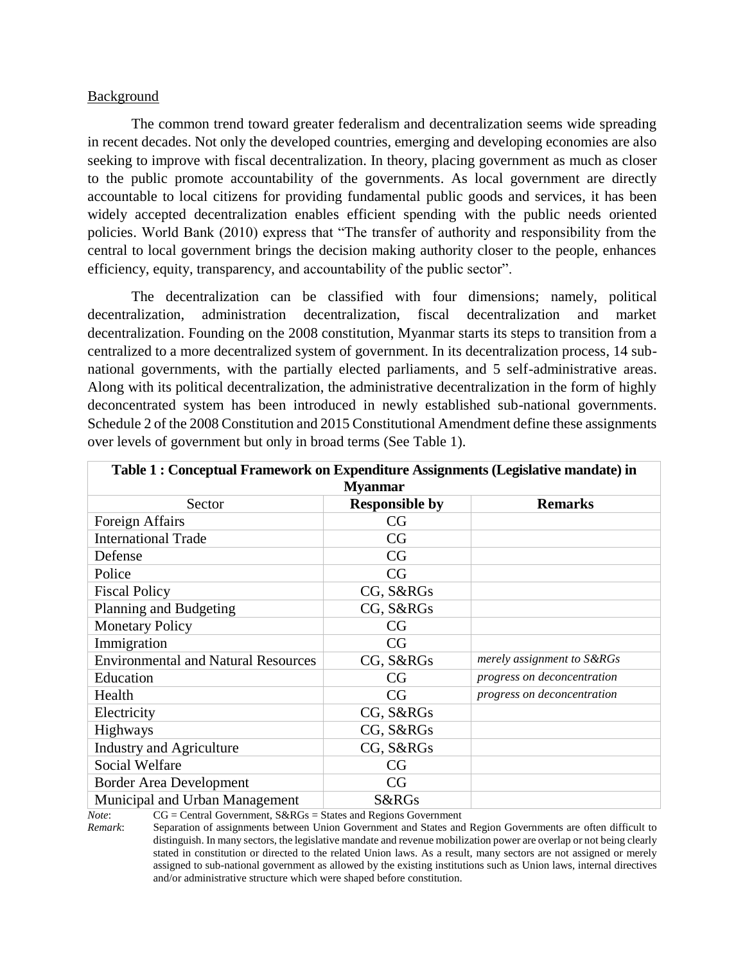#### Background

The common trend toward greater federalism and decentralization seems wide spreading in recent decades. Not only the developed countries, emerging and developing economies are also seeking to improve with fiscal decentralization. In theory, placing government as much as closer to the public promote accountability of the governments. As local government are directly accountable to local citizens for providing fundamental public goods and services, it has been widely accepted decentralization enables efficient spending with the public needs oriented policies. World Bank (2010) express that "The transfer of authority and responsibility from the central to local government brings the decision making authority closer to the people, enhances efficiency, equity, transparency, and accountability of the public sector".

The decentralization can be classified with four dimensions; namely, political decentralization, administration decentralization, fiscal decentralization and market decentralization. Founding on the 2008 constitution, Myanmar starts its steps to transition from a centralized to a more decentralized system of government. In its decentralization process, 14 subnational governments, with the partially elected parliaments, and 5 self-administrative areas. Along with its political decentralization, the administrative decentralization in the form of highly deconcentrated system has been introduced in newly established sub-national governments. Schedule 2 of the 2008 Constitution and 2015 Constitutional Amendment define these assignments over levels of government but only in broad terms (See Table 1).

| Table 1: Conceptual Framework on Expenditure Assignments (Legislative mandate) in |                       |                             |  |  |  |  |
|-----------------------------------------------------------------------------------|-----------------------|-----------------------------|--|--|--|--|
| <b>Myanmar</b>                                                                    |                       |                             |  |  |  |  |
| Sector                                                                            | <b>Responsible by</b> | <b>Remarks</b>              |  |  |  |  |
| Foreign Affairs                                                                   | CG                    |                             |  |  |  |  |
| <b>International Trade</b>                                                        | CG                    |                             |  |  |  |  |
| Defense                                                                           | CG                    |                             |  |  |  |  |
| Police                                                                            | CG                    |                             |  |  |  |  |
| <b>Fiscal Policy</b>                                                              | CG, S&RGs             |                             |  |  |  |  |
| Planning and Budgeting                                                            | CG, S&RGs             |                             |  |  |  |  |
| <b>Monetary Policy</b>                                                            | CG                    |                             |  |  |  |  |
| Immigration                                                                       | CG                    |                             |  |  |  |  |
| <b>Environmental and Natural Resources</b>                                        | CG, S&RGs             | merely assignment to S&RGs  |  |  |  |  |
| Education                                                                         | CG                    | progress on deconcentration |  |  |  |  |
| Health                                                                            | CG                    | progress on deconcentration |  |  |  |  |
| Electricity                                                                       | CG, S&RGs             |                             |  |  |  |  |
| Highways                                                                          | CG, S&RGs             |                             |  |  |  |  |
| <b>Industry and Agriculture</b>                                                   | CG, S&RGs             |                             |  |  |  |  |
| Social Welfare                                                                    | CG                    |                             |  |  |  |  |
| <b>Border Area Development</b>                                                    | CG                    |                             |  |  |  |  |
| Municipal and Urban Management                                                    | S&RGs<br>$\mathbf{r}$ |                             |  |  |  |  |

*Note*: CG = Central Government, S&RGs = States and Regions Government

*Remark*: Separation of assignments between Union Government and States and Region Governments are often difficult to distinguish. In many sectors, the legislative mandate and revenue mobilization power are overlap or not being clearly stated in constitution or directed to the related Union laws. As a result, many sectors are not assigned or merely assigned to sub-national government as allowed by the existing institutions such as Union laws, internal directives and/or administrative structure which were shaped before constitution.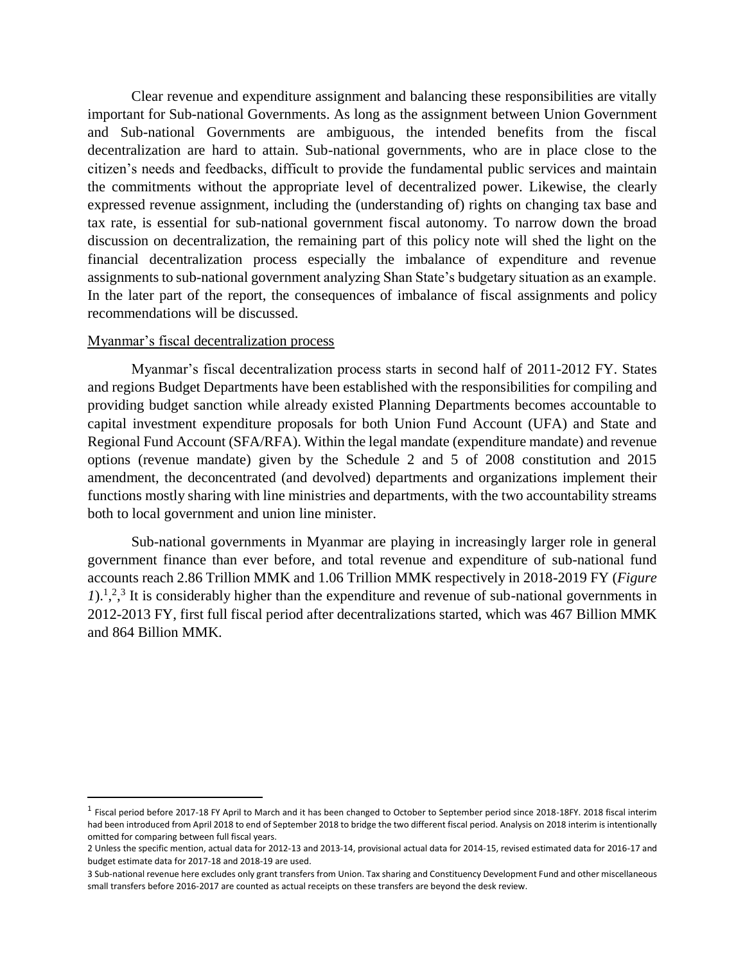Clear revenue and expenditure assignment and balancing these responsibilities are vitally important for Sub-national Governments. As long as the assignment between Union Government and Sub-national Governments are ambiguous, the intended benefits from the fiscal decentralization are hard to attain. Sub-national governments, who are in place close to the citizen's needs and feedbacks, difficult to provide the fundamental public services and maintain the commitments without the appropriate level of decentralized power. Likewise, the clearly expressed revenue assignment, including the (understanding of) rights on changing tax base and tax rate, is essential for sub-national government fiscal autonomy. To narrow down the broad discussion on decentralization, the remaining part of this policy note will shed the light on the financial decentralization process especially the imbalance of expenditure and revenue assignments to sub-national government analyzing Shan State's budgetary situation as an example. In the later part of the report, the consequences of imbalance of fiscal assignments and policy recommendations will be discussed.

### Myanmar's fiscal decentralization process

 $\overline{\phantom{a}}$ 

Myanmar's fiscal decentralization process starts in second half of 2011-2012 FY. States and regions Budget Departments have been established with the responsibilities for compiling and providing budget sanction while already existed Planning Departments becomes accountable to capital investment expenditure proposals for both Union Fund Account (UFA) and State and Regional Fund Account (SFA/RFA). Within the legal mandate (expenditure mandate) and revenue options (revenue mandate) given by the Schedule 2 and 5 of 2008 constitution and 2015 amendment, the deconcentrated (and devolved) departments and organizations implement their functions mostly sharing with line ministries and departments, with the two accountability streams both to local government and union line minister.

Sub-national governments in Myanmar are playing in increasingly larger role in general government finance than ever before, and total revenue and expenditure of sub-national fund accounts reach 2.86 Trillion MMK and 1.06 Trillion MMK respectively in 2018-2019 FY (*Figure*   $1$ ,<sup>1,2,3</sup> It is considerably higher than the expenditure and revenue of sub-national governments in 2012-2013 FY, first full fiscal period after decentralizations started, which was 467 Billion MMK and 864 Billion MMK.

<sup>&</sup>lt;sup>1</sup> Fiscal period before 2017-18 FY April to March and it has been changed to October to September period since 2018-18FY. 2018 fiscal interim had been introduced from April 2018 to end of September 2018 to bridge the two different fiscal period. Analysis on 2018 interim is intentionally omitted for comparing between full fiscal years.

<sup>2</sup> Unless the specific mention, actual data for 2012-13 and 2013-14, provisional actual data for 2014-15, revised estimated data for 2016-17 and budget estimate data for 2017-18 and 2018-19 are used.

<sup>3</sup> Sub-national revenue here excludes only grant transfers from Union. Tax sharing and Constituency Development Fund and other miscellaneous small transfers before 2016-2017 are counted as actual receipts on these transfers are beyond the desk review.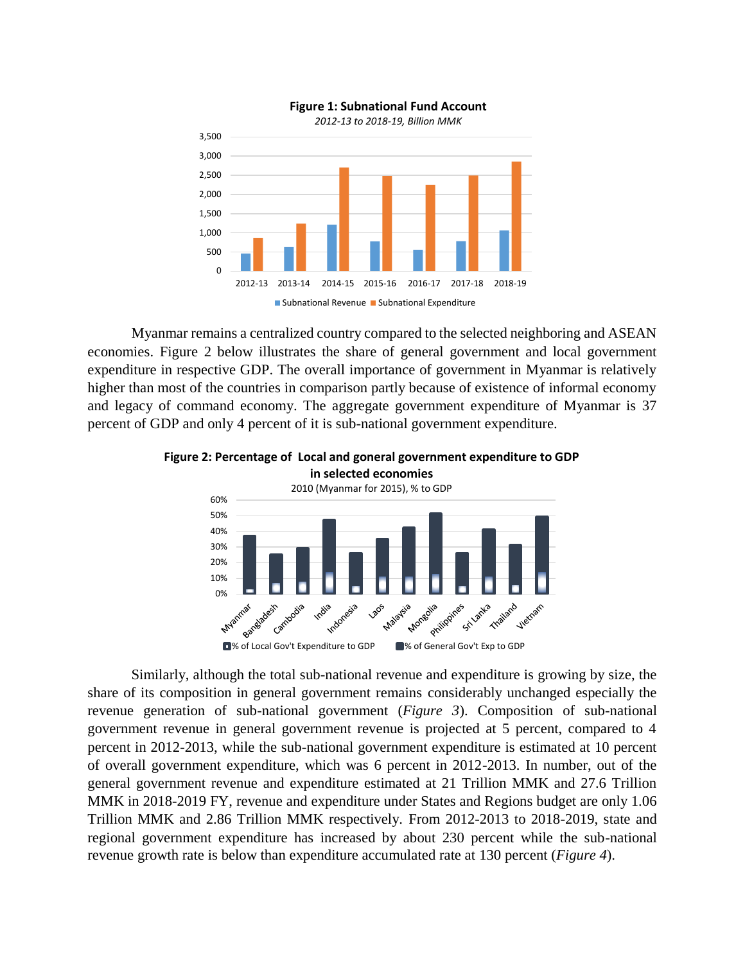

Myanmar remains a centralized country compared to the selected neighboring and ASEAN economies. Figure 2 below illustrates the share of general government and local government expenditure in respective GDP. The overall importance of government in Myanmar is relatively higher than most of the countries in comparison partly because of existence of informal economy and legacy of command economy. The aggregate government expenditure of Myanmar is 37 percent of GDP and only 4 percent of it is sub-national government expenditure.



**Figure 2: Percentage of Local and goneral government expenditure to GDP in selected economies**

Similarly, although the total sub-national revenue and expenditure is growing by size, the share of its composition in general government remains considerably unchanged especially the revenue generation of sub-national government (*Figure 3*). Composition of sub-national government revenue in general government revenue is projected at 5 percent, compared to 4 percent in 2012-2013, while the sub-national government expenditure is estimated at 10 percent of overall government expenditure, which was 6 percent in 2012-2013. In number, out of the general government revenue and expenditure estimated at 21 Trillion MMK and 27.6 Trillion MMK in 2018-2019 FY, revenue and expenditure under States and Regions budget are only 1.06 Trillion MMK and 2.86 Trillion MMK respectively. From 2012-2013 to 2018-2019, state and regional government expenditure has increased by about 230 percent while the sub-national revenue growth rate is below than expenditure accumulated rate at 130 percent (*Figure 4*).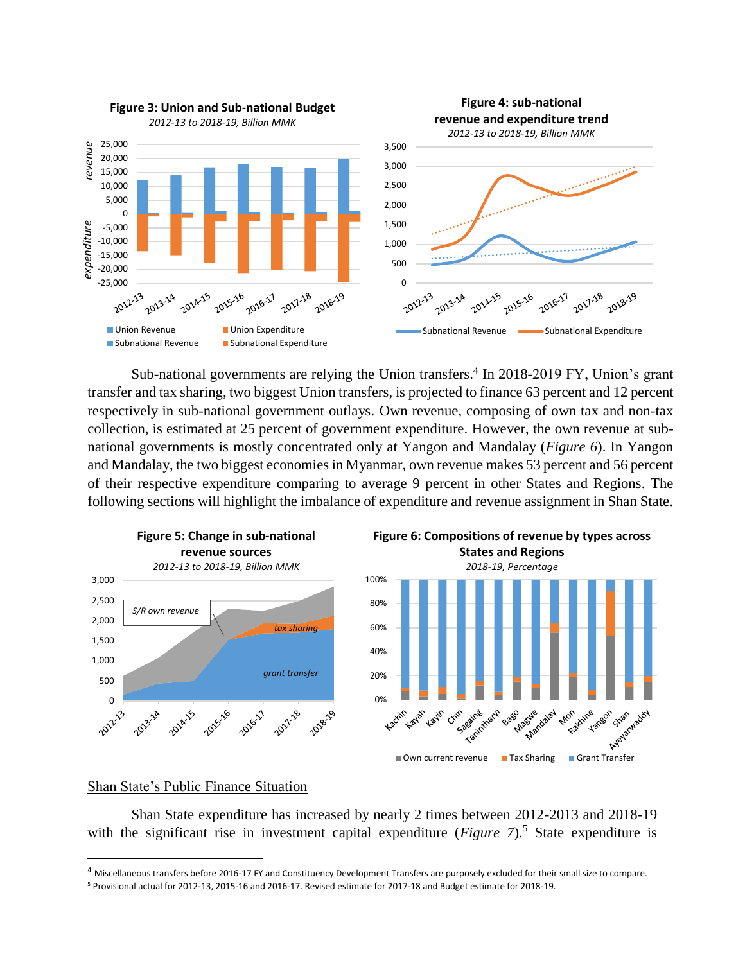

Sub-national governments are relying the Union transfers.<sup>4</sup> In 2018-2019 FY, Union's grant transfer and tax sharing, two biggest Union transfers, is projected to finance 63 percent and 12 percent respectively in sub-national government outlays. Own revenue, composing of own tax and non-tax collection, is estimated at 25 percent of government expenditure. However, the own revenue at subnational governments is mostly concentrated only at Yangon and Mandalay (*Figure 6*). In Yangon and Mandalay, the two biggest economies in Myanmar, own revenue makes 53 percent and 56 percent of their respective expenditure comparing to average 9 percent in other States and Regions. The following sections will highlight the imbalance of expenditure and revenue assignment in Shan State.



#### Shan State's Public Finance Situation

 $\overline{\phantom{a}}$ 

Shan State expenditure has increased by nearly 2 times between 2012-2013 and 2018-19 with the significant rise in investment capital expenditure (*Figure 7*).<sup>5</sup> State expenditure is

<sup>4</sup> Miscellaneous transfers before 2016-17 FY and Constituency Development Transfers are purposely excluded for their small size to compare.

<sup>5</sup> Provisional actual for 2012-13, 2015-16 and 2016-17. Revised estimate for 2017-18 and Budget estimate for 2018-19.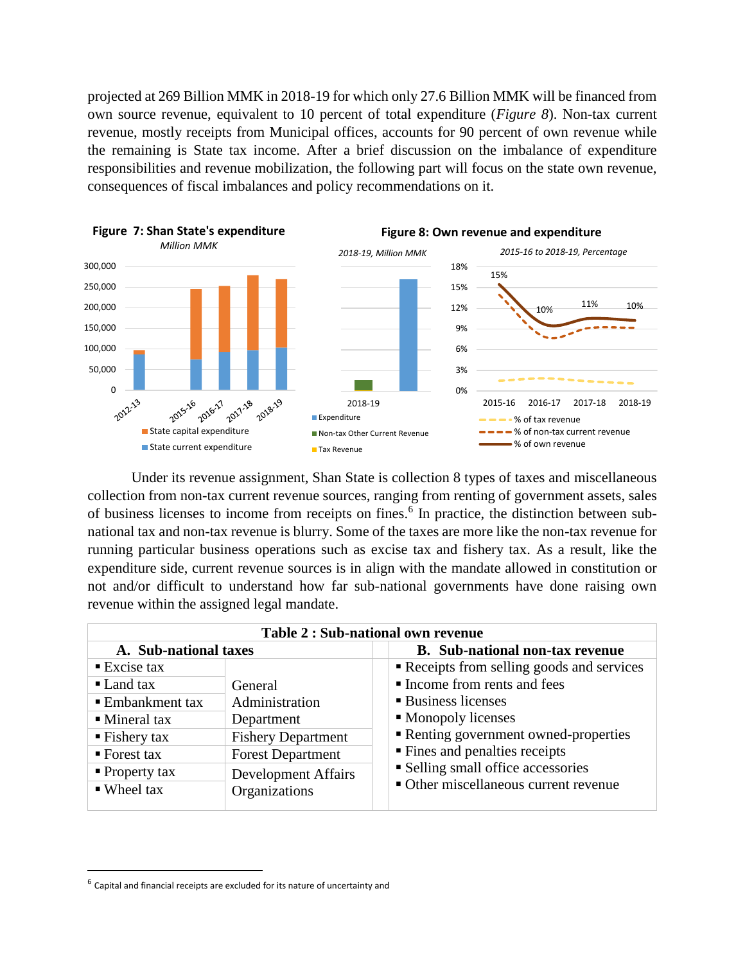projected at 269 Billion MMK in 2018-19 for which only 27.6 Billion MMK will be financed from own source revenue, equivalent to 10 percent of total expenditure (*Figure 8*). Non-tax current revenue, mostly receipts from Municipal offices, accounts for 90 percent of own revenue while the remaining is State tax income. After a brief discussion on the imbalance of expenditure responsibilities and revenue mobilization, the following part will focus on the state own revenue, consequences of fiscal imbalances and policy recommendations on it.



Under its revenue assignment, Shan State is collection 8 types of taxes and miscellaneous collection from non-tax current revenue sources, ranging from renting of government assets, sales of business licenses to income from receipts on fines.<sup>6</sup> In practice, the distinction between subnational tax and non-tax revenue is blurry. Some of the taxes are more like the non-tax revenue for running particular business operations such as excise tax and fishery tax. As a result, like the expenditure side, current revenue sources is in align with the mandate allowed in constitution or not and/or difficult to understand how far sub-national governments have done raising own revenue within the assigned legal mandate.

| Table 2 : Sub-national own revenue |                            |                                          |  |  |  |
|------------------------------------|----------------------------|------------------------------------------|--|--|--|
| A. Sub-national taxes              |                            | <b>B.</b> Sub-national non-tax revenue   |  |  |  |
| $\blacksquare$ Excise tax          |                            | Receipts from selling goods and services |  |  |  |
| $\blacksquare$ Land tax            | General                    | Income from rents and fees               |  |  |  |
| ■ Embankment tax                   | Administration             | ■ Business licenses                      |  |  |  |
| $\blacksquare$ Mineral tax         | Department                 | • Monopoly licenses                      |  |  |  |
| $\blacksquare$ Fishery tax         | <b>Fishery Department</b>  | Renting government owned-properties      |  |  |  |
| $\blacksquare$ Forest tax          | <b>Forest Department</b>   | ■ Fines and penalties receipts           |  |  |  |
| $\blacksquare$ Property tax        | <b>Development Affairs</b> | • Selling small office accessories       |  |  |  |
| $\blacksquare$ Wheel tax           | Organizations              | • Other miscellaneous current revenue    |  |  |  |

 $\overline{\phantom{a}}$ 

 $^6$  Capital and financial receipts are excluded for its nature of uncertainty and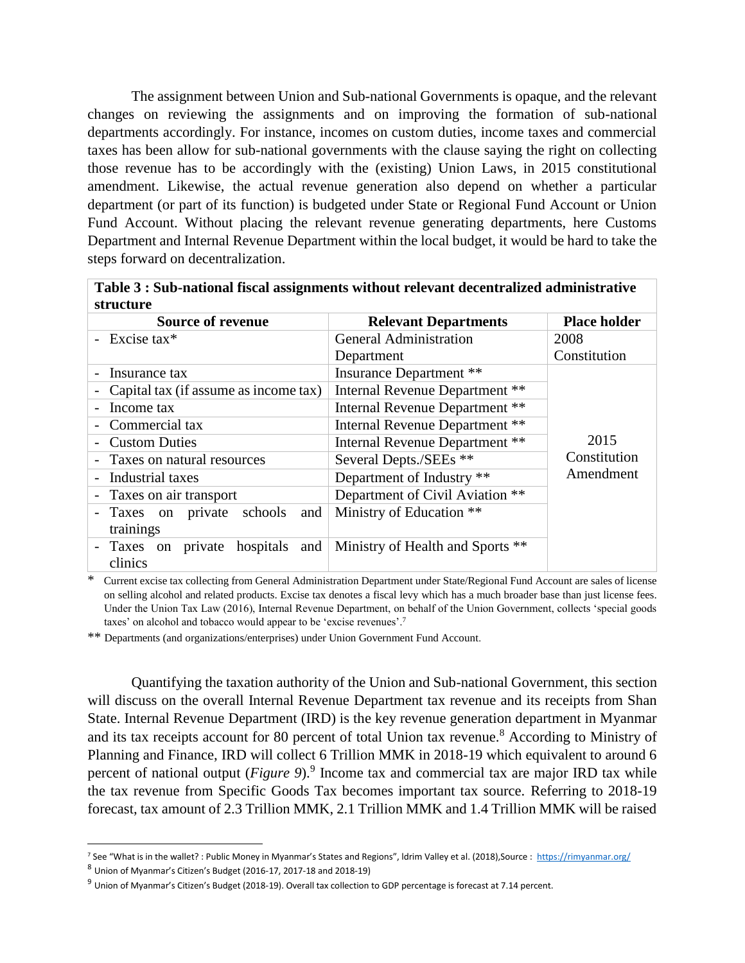The assignment between Union and Sub-national Governments is opaque, and the relevant changes on reviewing the assignments and on improving the formation of sub-national departments accordingly. For instance, incomes on custom duties, income taxes and commercial taxes has been allow for sub-national governments with the clause saying the right on collecting those revenue has to be accordingly with the (existing) Union Laws, in 2015 constitutional amendment. Likewise, the actual revenue generation also depend on whether a particular department (or part of its function) is budgeted under State or Regional Fund Account or Union Fund Account. Without placing the relevant revenue generating departments, here Customs Department and Internal Revenue Department within the local budget, it would be hard to take the steps forward on decentralization.

| Table 3 : Sub-national fiscal assignments without relevant decentralized administrative<br>structure |                                                    |                                  |                           |  |
|------------------------------------------------------------------------------------------------------|----------------------------------------------------|----------------------------------|---------------------------|--|
|                                                                                                      | <b>Source of revenue</b>                           | <b>Relevant Departments</b>      | <b>Place holder</b>       |  |
|                                                                                                      | Excise tax $*$                                     | <b>General Administration</b>    | 2008                      |  |
|                                                                                                      |                                                    | Department                       | Constitution              |  |
|                                                                                                      | Insurance tax                                      | <b>Insurance Department</b> **   |                           |  |
|                                                                                                      | Capital tax (if assume as income tax)              | Internal Revenue Department **   |                           |  |
|                                                                                                      | Income tax                                         | Internal Revenue Department **   |                           |  |
|                                                                                                      | Commercial tax                                     | Internal Revenue Department **   |                           |  |
|                                                                                                      | <b>Custom Duties</b>                               | Internal Revenue Department **   | 2015                      |  |
| Taxes on natural resources                                                                           |                                                    | Several Depts./SEEs **           | Constitution<br>Amendment |  |
| Industrial taxes                                                                                     |                                                    | Department of Industry **        |                           |  |
|                                                                                                      | - Taxes on air transport                           | Department of Civil Aviation **  |                           |  |
|                                                                                                      | schools<br>Taxes on private<br>and<br>trainings    | Ministry of Education **         |                           |  |
|                                                                                                      | hospitals<br>and<br>private<br>Taxes on<br>clinics | Ministry of Health and Sports ** |                           |  |

**Table 3 : Sub-national fiscal assignments without relevant decentralized administrative** 

\* Current excise tax collecting from General Administration Department under State/Regional Fund Account are sales of license on selling alcohol and related products. Excise tax denotes a fiscal levy which has a much broader base than just license fees. Under the Union Tax Law (2016), Internal Revenue Department, on behalf of the Union Government, collects 'special goods taxes' on alcohol and tobacco would appear to be 'excise revenues'.<sup>7</sup>

\*\* Departments (and organizations/enterprises) under Union Government Fund Account.

Quantifying the taxation authority of the Union and Sub-national Government, this section will discuss on the overall Internal Revenue Department tax revenue and its receipts from Shan State. Internal Revenue Department (IRD) is the key revenue generation department in Myanmar and its tax receipts account for 80 percent of total Union tax revenue.<sup>8</sup> According to Ministry of Planning and Finance, IRD will collect 6 Trillion MMK in 2018-19 which equivalent to around 6 percent of national output (*Figure 9*). 9 Income tax and commercial tax are major IRD tax while the tax revenue from Specific Goods Tax becomes important tax source. Referring to 2018-19 forecast, tax amount of 2.3 Trillion MMK, 2.1 Trillion MMK and 1.4 Trillion MMK will be raised

 $\overline{a}$ 

<sup>7</sup> See "What is in the wallet? : Public Money in Myanmar's States and Regions", ldrim Valley et al. (2018),Source : <https://rimyanmar.org/>

<sup>8</sup> Union of Myanmar's Citizen's Budget (2016-17, 2017-18 and 2018-19)

<sup>9</sup> Union of Myanmar's Citizen's Budget (2018-19). Overall tax collection to GDP percentage is forecast at 7.14 percent.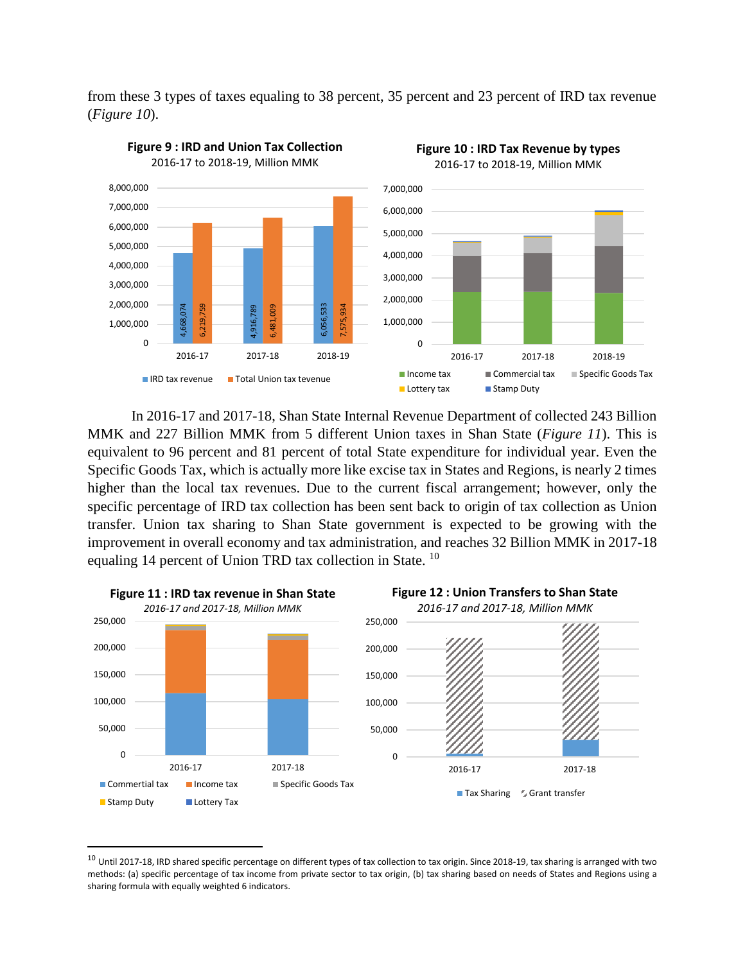from these 3 types of taxes equaling to 38 percent, 35 percent and 23 percent of IRD tax revenue (*Figure 10*).



In 2016-17 and 2017-18, Shan State Internal Revenue Department of collected 243 Billion MMK and 227 Billion MMK from 5 different Union taxes in Shan State (*Figure 11*). This is equivalent to 96 percent and 81 percent of total State expenditure for individual year. Even the Specific Goods Tax, which is actually more like excise tax in States and Regions, is nearly 2 times higher than the local tax revenues. Due to the current fiscal arrangement; however, only the specific percentage of IRD tax collection has been sent back to origin of tax collection as Union transfer. Union tax sharing to Shan State government is expected to be growing with the improvement in overall economy and tax administration, and reaches 32 Billion MMK in 2017-18 equaling 14 percent of Union TRD tax collection in State. <sup>10</sup>



<sup>&</sup>lt;sup>10</sup> Until 2017-18, IRD shared specific percentage on different types of tax collection to tax origin. Since 2018-19, tax sharing is arranged with two methods: (a) specific percentage of tax income from private sector to tax origin, (b) tax sharing based on needs of States and Regions using a

 $\overline{\phantom{a}}$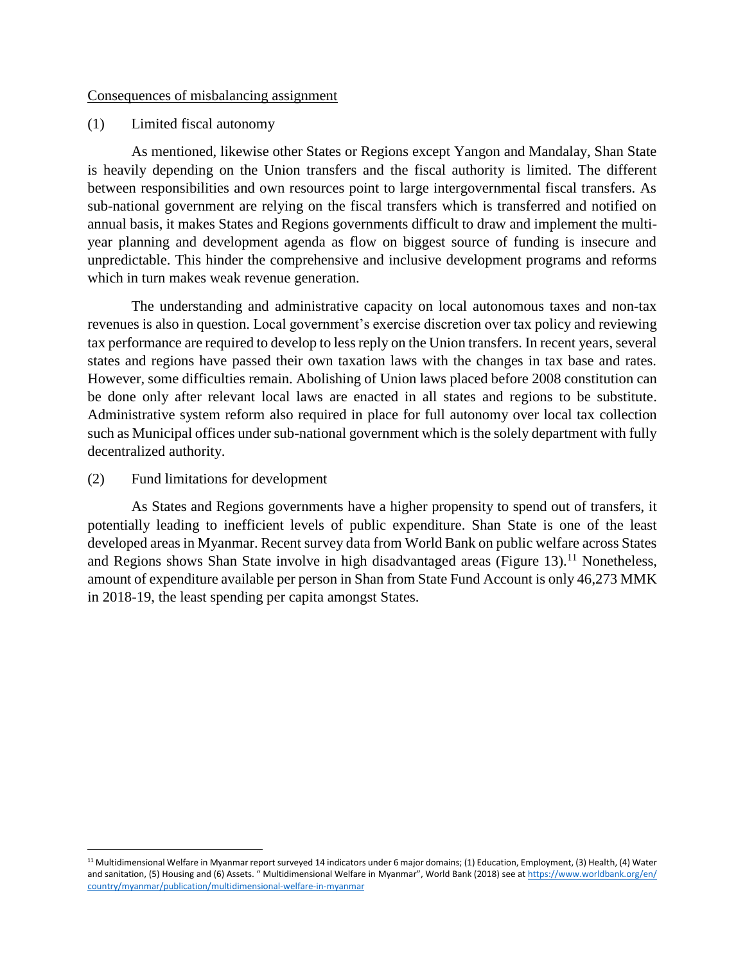#### Consequences of misbalancing assignment

#### (1) Limited fiscal autonomy

As mentioned, likewise other States or Regions except Yangon and Mandalay, Shan State is heavily depending on the Union transfers and the fiscal authority is limited. The different between responsibilities and own resources point to large intergovernmental fiscal transfers. As sub-national government are relying on the fiscal transfers which is transferred and notified on annual basis, it makes States and Regions governments difficult to draw and implement the multiyear planning and development agenda as flow on biggest source of funding is insecure and unpredictable. This hinder the comprehensive and inclusive development programs and reforms which in turn makes weak revenue generation.

The understanding and administrative capacity on local autonomous taxes and non-tax revenues is also in question. Local government's exercise discretion over tax policy and reviewing tax performance are required to develop to less reply on the Union transfers. In recent years, several states and regions have passed their own taxation laws with the changes in tax base and rates. However, some difficulties remain. Abolishing of Union laws placed before 2008 constitution can be done only after relevant local laws are enacted in all states and regions to be substitute. Administrative system reform also required in place for full autonomy over local tax collection such as Municipal offices under sub-national government which is the solely department with fully decentralized authority.

### (2) Fund limitations for development

 $\overline{a}$ 

As States and Regions governments have a higher propensity to spend out of transfers, it potentially leading to inefficient levels of public expenditure. Shan State is one of the least developed areas in Myanmar. Recent survey data from World Bank on public welfare across States and Regions shows Shan State involve in high disadvantaged areas (Figure 13).<sup>11</sup> Nonetheless, amount of expenditure available per person in Shan from State Fund Account is only 46,273 MMK in 2018-19, the least spending per capita amongst States.

<sup>&</sup>lt;sup>11</sup> Multidimensional Welfare in Myanmar report surveyed 14 indicators under 6 major domains; (1) Education, Employment, (3) Health, (4) Water and sanitation, (5) Housing and (6) Assets. " Multidimensional Welfare in Myanmar", World Bank (2018) see at https://www.worldbank.org/en/ [country/myanmar/publication/multidimensional-welfare-in-myanmar](https://www.worldbank.org/en/%20country/myanmar/publication/multidimensional-welfare-in-myanmar)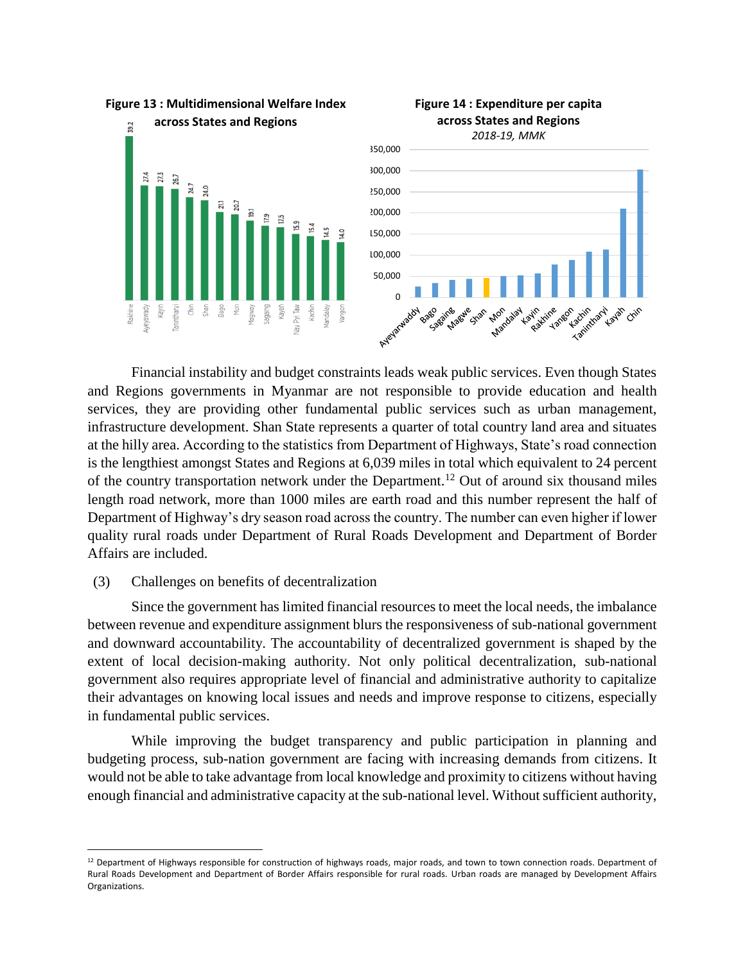



Financial instability and budget constraints leads weak public services. Even though States and Regions governments in Myanmar are not responsible to provide education and health services, they are providing other fundamental public services such as urban management, infrastructure development. Shan State represents a quarter of total country land area and situates at the hilly area. According to the statistics from Department of Highways, State's road connection is the lengthiest amongst States and Regions at 6,039 miles in total which equivalent to 24 percent of the country transportation network under the Department.<sup>12</sup> Out of around six thousand miles length road network, more than 1000 miles are earth road and this number represent the half of Department of Highway's dry season road across the country. The number can even higher if lower quality rural roads under Department of Rural Roads Development and Department of Border Affairs are included.

#### (3) Challenges on benefits of decentralization

 $\overline{a}$ 

Since the government has limited financial resources to meet the local needs, the imbalance between revenue and expenditure assignment blurs the responsiveness of sub-national government and downward accountability. The accountability of decentralized government is shaped by the extent of local decision-making authority. Not only political decentralization, sub-national government also requires appropriate level of financial and administrative authority to capitalize their advantages on knowing local issues and needs and improve response to citizens, especially in fundamental public services.

While improving the budget transparency and public participation in planning and budgeting process, sub-nation government are facing with increasing demands from citizens. It would not be able to take advantage from local knowledge and proximity to citizens without having enough financial and administrative capacity at the sub-national level. Without sufficient authority,

<sup>&</sup>lt;sup>12</sup> Department of Highways responsible for construction of highways roads, major roads, and town to town connection roads. Department of Rural Roads Development and Department of Border Affairs responsible for rural roads. Urban roads are managed by Development Affairs Organizations.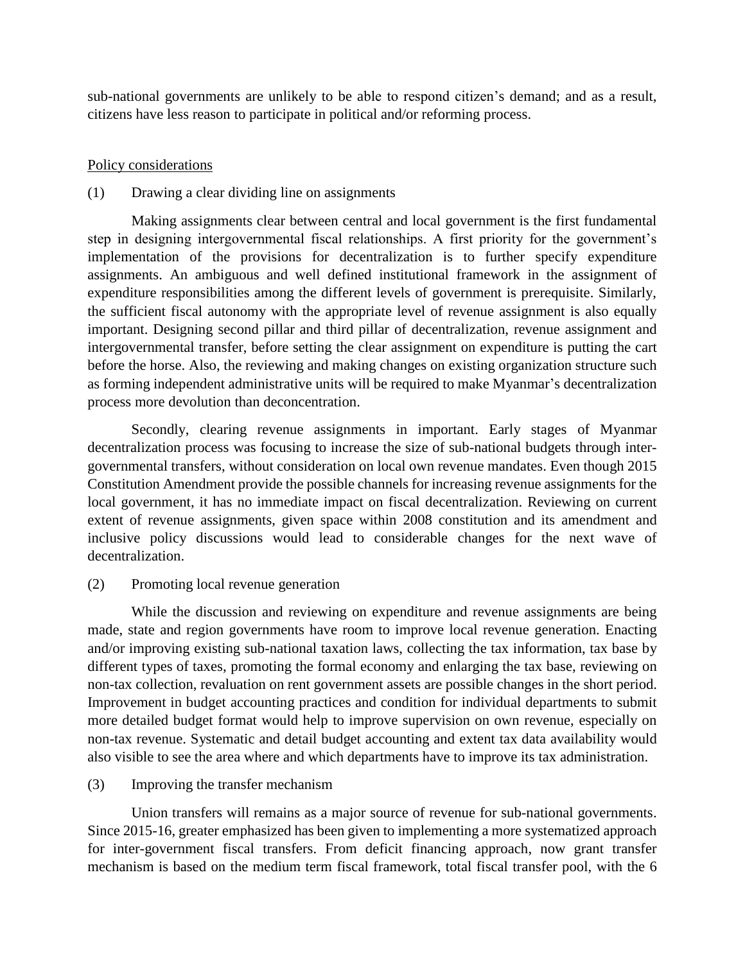sub-national governments are unlikely to be able to respond citizen's demand; and as a result, citizens have less reason to participate in political and/or reforming process.

# Policy considerations

# (1) Drawing a clear dividing line on assignments

Making assignments clear between central and local government is the first fundamental step in designing intergovernmental fiscal relationships. A first priority for the government's implementation of the provisions for decentralization is to further specify expenditure assignments. An ambiguous and well defined institutional framework in the assignment of expenditure responsibilities among the different levels of government is prerequisite. Similarly, the sufficient fiscal autonomy with the appropriate level of revenue assignment is also equally important. Designing second pillar and third pillar of decentralization, revenue assignment and intergovernmental transfer, before setting the clear assignment on expenditure is putting the cart before the horse. Also, the reviewing and making changes on existing organization structure such as forming independent administrative units will be required to make Myanmar's decentralization process more devolution than deconcentration.

Secondly, clearing revenue assignments in important. Early stages of Myanmar decentralization process was focusing to increase the size of sub-national budgets through intergovernmental transfers, without consideration on local own revenue mandates. Even though 2015 Constitution Amendment provide the possible channels for increasing revenue assignments for the local government, it has no immediate impact on fiscal decentralization. Reviewing on current extent of revenue assignments, given space within 2008 constitution and its amendment and inclusive policy discussions would lead to considerable changes for the next wave of decentralization.

# (2) Promoting local revenue generation

While the discussion and reviewing on expenditure and revenue assignments are being made, state and region governments have room to improve local revenue generation. Enacting and/or improving existing sub-national taxation laws, collecting the tax information, tax base by different types of taxes, promoting the formal economy and enlarging the tax base, reviewing on non-tax collection, revaluation on rent government assets are possible changes in the short period. Improvement in budget accounting practices and condition for individual departments to submit more detailed budget format would help to improve supervision on own revenue, especially on non-tax revenue. Systematic and detail budget accounting and extent tax data availability would also visible to see the area where and which departments have to improve its tax administration.

## (3) Improving the transfer mechanism

Union transfers will remains as a major source of revenue for sub-national governments. Since 2015-16, greater emphasized has been given to implementing a more systematized approach for inter-government fiscal transfers. From deficit financing approach, now grant transfer mechanism is based on the medium term fiscal framework, total fiscal transfer pool, with the 6